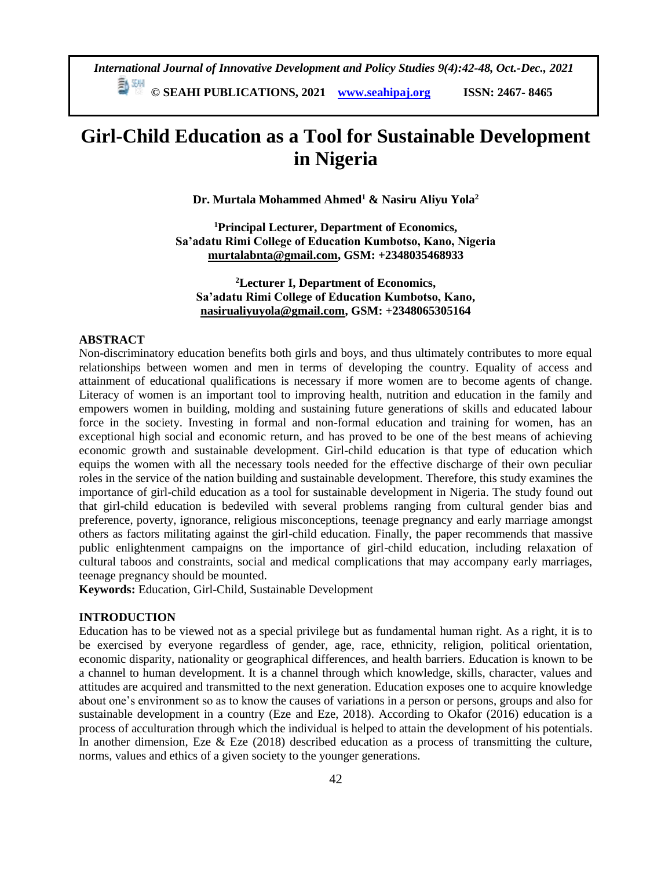*International Journal of Innovative Development and Policy Studies 9(4):42-48, Oct.-Dec., 2021*

**© SEAHI PUBLICATIONS, 2021 [www.seahipaj.org](http://www.seahipaj.org/) ISSN: 2467- 8465**

# **Girl-Child Education as a Tool for Sustainable Development in Nigeria**

**Dr. Murtala Mohammed Ahmed<sup>1</sup> & Nasiru Aliyu Yola<sup>2</sup>**

**<sup>1</sup>Principal Lecturer, Department of Economics, Sa'adatu Rimi College of Education Kumbotso, Kano, Nigeria [murtalabnta@gmail.com,](mailto:murtalabnta@gmail.com) GSM: +2348035468933**

**<sup>2</sup>Lecturer I, Department of Economics, Sa'adatu Rimi College of Education Kumbotso, Kano, [nasirualiyuyola@gmail.com,](mailto:nasirualiyuyola@gmail.com) GSM: +2348065305164**

# **ABSTRACT**

Non-discriminatory education benefits both girls and boys, and thus ultimately contributes to more equal relationships between women and men in terms of developing the country. Equality of access and attainment of educational qualifications is necessary if more women are to become agents of change. Literacy of women is an important tool to improving health, nutrition and education in the family and empowers women in building, molding and sustaining future generations of skills and educated labour force in the society. Investing in formal and non-formal education and training for women, has an exceptional high social and economic return, and has proved to be one of the best means of achieving economic growth and sustainable development. Girl-child education is that type of education which equips the women with all the necessary tools needed for the effective discharge of their own peculiar roles in the service of the nation building and sustainable development. Therefore, this study examines the importance of girl-child education as a tool for sustainable development in Nigeria. The study found out that girl-child education is bedeviled with several problems ranging from cultural gender bias and preference, poverty, ignorance, religious misconceptions, teenage pregnancy and early marriage amongst others as factors militating against the girl-child education. Finally, the paper recommends that massive public enlightenment campaigns on the importance of girl-child education, including relaxation of cultural taboos and constraints, social and medical complications that may accompany early marriages, teenage pregnancy should be mounted.

**Keywords:** Education, Girl-Child, Sustainable Development

## **INTRODUCTION**

Education has to be viewed not as a special privilege but as fundamental human right. As a right, it is to be exercised by everyone regardless of gender, age, race, ethnicity, religion, political orientation, economic disparity, nationality or geographical differences, and health barriers. Education is known to be a channel to human development. It is a channel through which knowledge, skills, character, values and attitudes are acquired and transmitted to the next generation. Education exposes one to acquire knowledge about one's environment so as to know the causes of variations in a person or persons, groups and also for sustainable development in a country (Eze and Eze, 2018). According to Okafor (2016) education is a process of acculturation through which the individual is helped to attain the development of his potentials. In another dimension, Eze  $\&$  Eze (2018) described education as a process of transmitting the culture, norms, values and ethics of a given society to the younger generations.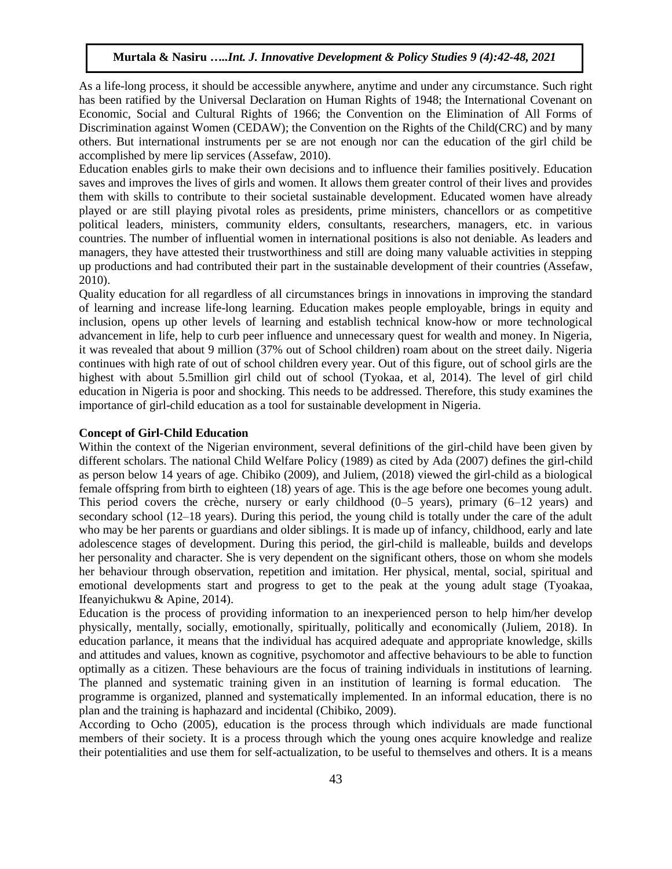As a life-long process, it should be accessible anywhere, anytime and under any circumstance. Such right has been ratified by the Universal Declaration on Human Rights of 1948; the International Covenant on Economic, Social and Cultural Rights of 1966; the Convention on the Elimination of All Forms of Discrimination against Women (CEDAW); the Convention on the Rights of the Child(CRC) and by many others. But international instruments per se are not enough nor can the education of the girl child be accomplished by mere lip services (Assefaw, 2010).

Education enables girls to make their own decisions and to influence their families positively. Education saves and improves the lives of girls and women. It allows them greater control of their lives and provides them with skills to contribute to their societal sustainable development. Educated women have already played or are still playing pivotal roles as presidents, prime ministers, chancellors or as competitive political leaders, ministers, community elders, consultants, researchers, managers, etc. in various countries. The number of influential women in international positions is also not deniable. As leaders and managers, they have attested their trustworthiness and still are doing many valuable activities in stepping up productions and had contributed their part in the sustainable development of their countries (Assefaw, 2010).

Quality education for all regardless of all circumstances brings in innovations in improving the standard of learning and increase life-long learning. Education makes people employable, brings in equity and inclusion, opens up other levels of learning and establish technical know-how or more technological advancement in life, help to curb peer influence and unnecessary quest for wealth and money. In Nigeria, it was revealed that about 9 million (37% out of School children) roam about on the street daily. Nigeria continues with high rate of out of school children every year. Out of this figure, out of school girls are the highest with about 5.5million girl child out of school (Tyokaa, et al, 2014). The level of girl child education in Nigeria is poor and shocking. This needs to be addressed. Therefore, this study examines the importance of girl-child education as a tool for sustainable development in Nigeria.

## **Concept of Girl-Child Education**

Within the context of the Nigerian environment, several definitions of the girl-child have been given by different scholars. The national Child Welfare Policy (1989) as cited by Ada (2007) defines the girl-child as person below 14 years of age. Chibiko (2009), and Juliem, (2018) viewed the girl-child as a biological female offspring from birth to eighteen (18) years of age. This is the age before one becomes young adult. This period covers the crèche, nursery or early childhood (0–5 years), primary (6–12 years) and secondary school (12–18 years). During this period, the young child is totally under the care of the adult who may be her parents or guardians and older siblings. It is made up of infancy, childhood, early and late adolescence stages of development. During this period, the girl-child is malleable, builds and develops her personality and character. She is very dependent on the significant others, those on whom she models her behaviour through observation, repetition and imitation. Her physical, mental, social, spiritual and emotional developments start and progress to get to the peak at the young adult stage (Tyoakaa, Ifeanyichukwu & Apine, 2014).

Education is the process of providing information to an inexperienced person to help him/her develop physically, mentally, socially, emotionally, spiritually, politically and economically (Juliem, 2018). In education parlance, it means that the individual has acquired adequate and appropriate knowledge, skills and attitudes and values, known as cognitive, psychomotor and affective behaviours to be able to function optimally as a citizen. These behaviours are the focus of training individuals in institutions of learning. The planned and systematic training given in an institution of learning is formal education. The programme is organized, planned and systematically implemented. In an informal education, there is no plan and the training is haphazard and incidental (Chibiko, 2009).

According to Ocho (2005), education is the process through which individuals are made functional members of their society. It is a process through which the young ones acquire knowledge and realize their potentialities and use them for self-actualization, to be useful to themselves and others. It is a means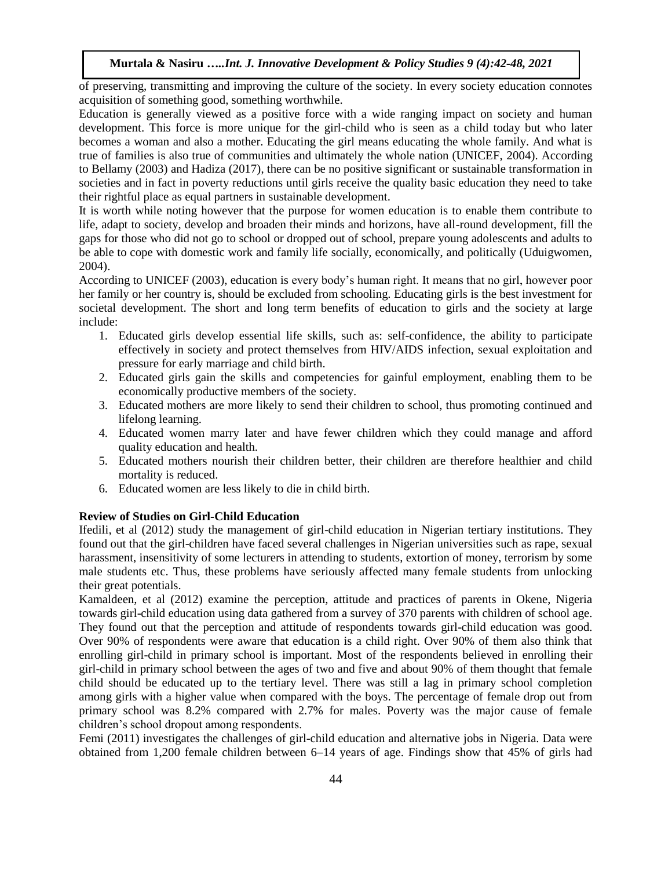of preserving, transmitting and improving the culture of the society. In every society education connotes acquisition of something good, something worthwhile.

Education is generally viewed as a positive force with a wide ranging impact on society and human development. This force is more unique for the girl-child who is seen as a child today but who later becomes a woman and also a mother. Educating the girl means educating the whole family. And what is true of families is also true of communities and ultimately the whole nation (UNICEF, 2004). According to Bellamy (2003) and Hadiza (2017), there can be no positive significant or sustainable transformation in societies and in fact in poverty reductions until girls receive the quality basic education they need to take their rightful place as equal partners in sustainable development.

It is worth while noting however that the purpose for women education is to enable them contribute to life, adapt to society, develop and broaden their minds and horizons, have all-round development, fill the gaps for those who did not go to school or dropped out of school, prepare young adolescents and adults to be able to cope with domestic work and family life socially, economically, and politically (Uduigwomen, 2004).

According to UNICEF (2003), education is every body's human right. It means that no girl, however poor her family or her country is, should be excluded from schooling. Educating girls is the best investment for societal development. The short and long term benefits of education to girls and the society at large include:

- 1. Educated girls develop essential life skills, such as: self-confidence, the ability to participate effectively in society and protect themselves from HIV/AIDS infection, sexual exploitation and pressure for early marriage and child birth.
- 2. Educated girls gain the skills and competencies for gainful employment, enabling them to be economically productive members of the society.
- 3. Educated mothers are more likely to send their children to school, thus promoting continued and lifelong learning.
- 4. Educated women marry later and have fewer children which they could manage and afford quality education and health.
- 5. Educated mothers nourish their children better, their children are therefore healthier and child mortality is reduced.
- 6. Educated women are less likely to die in child birth.

## **Review of Studies on Girl-Child Education**

Ifedili, et al (2012) study the management of girl-child education in Nigerian tertiary institutions. They found out that the girl-children have faced several challenges in Nigerian universities such as rape, sexual harassment, insensitivity of some lecturers in attending to students, extortion of money, terrorism by some male students etc. Thus, these problems have seriously affected many female students from unlocking their great potentials.

Kamaldeen, et al (2012) examine the perception, attitude and practices of parents in Okene, Nigeria towards girl-child education using data gathered from a survey of 370 parents with children of school age. They found out that the perception and attitude of respondents towards girl-child education was good. Over 90% of respondents were aware that education is a child right. Over 90% of them also think that enrolling girl-child in primary school is important. Most of the respondents believed in enrolling their girl-child in primary school between the ages of two and five and about 90% of them thought that female child should be educated up to the tertiary level. There was still a lag in primary school completion among girls with a higher value when compared with the boys. The percentage of female drop out from primary school was 8.2% compared with 2.7% for males. Poverty was the major cause of female children's school dropout among respondents.

Femi (2011) investigates the challenges of girl-child education and alternative jobs in Nigeria. Data were obtained from 1,200 female children between 6–14 years of age. Findings show that 45% of girls had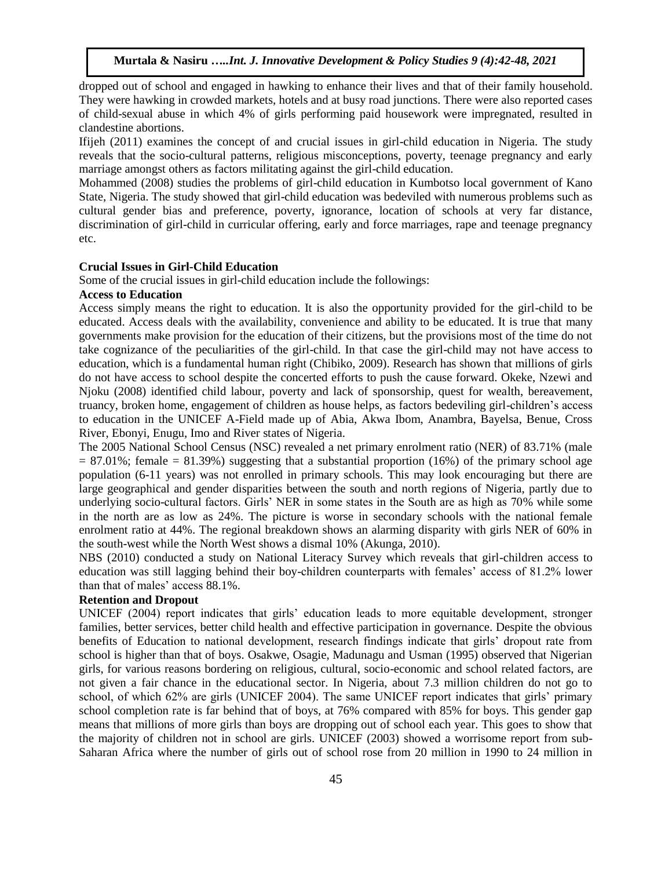dropped out of school and engaged in hawking to enhance their lives and that of their family household. They were hawking in crowded markets, hotels and at busy road junctions. There were also reported cases of child-sexual abuse in which 4% of girls performing paid housework were impregnated, resulted in clandestine abortions.

Ifijeh (2011) examines the concept of and crucial issues in girl-child education in Nigeria. The study reveals that the socio-cultural patterns, religious misconceptions, poverty, teenage pregnancy and early marriage amongst others as factors militating against the girl-child education.

Mohammed (2008) studies the problems of girl-child education in Kumbotso local government of Kano State, Nigeria. The study showed that girl-child education was bedeviled with numerous problems such as cultural gender bias and preference, poverty, ignorance, location of schools at very far distance, discrimination of girl-child in curricular offering, early and force marriages, rape and teenage pregnancy etc.

### **Crucial Issues in Girl-Child Education**

Some of the crucial issues in girl-child education include the followings:

### **Access to Education**

Access simply means the right to education. It is also the opportunity provided for the girl-child to be educated. Access deals with the availability, convenience and ability to be educated. It is true that many governments make provision for the education of their citizens, but the provisions most of the time do not take cognizance of the peculiarities of the girl-child. In that case the girl-child may not have access to education, which is a fundamental human right (Chibiko, 2009). Research has shown that millions of girls do not have access to school despite the concerted efforts to push the cause forward. Okeke, Nzewi and Njoku (2008) identified child labour, poverty and lack of sponsorship, quest for wealth, bereavement, truancy, broken home, engagement of children as house helps, as factors bedeviling girl-children's access to education in the UNICEF A-Field made up of Abia, Akwa Ibom, Anambra, Bayelsa, Benue, Cross River, Ebonyi, Enugu, Imo and River states of Nigeria.

The 2005 National School Census (NSC) revealed a net primary enrolment ratio (NER) of 83.71% (male  $= 87.01\%$ ; female  $= 81.39\%$ ) suggesting that a substantial proportion (16%) of the primary school age population (6-11 years) was not enrolled in primary schools. This may look encouraging but there are large geographical and gender disparities between the south and north regions of Nigeria, partly due to underlying socio-cultural factors. Girls' NER in some states in the South are as high as 70% while some in the north are as low as 24%. The picture is worse in secondary schools with the national female enrolment ratio at 44%. The regional breakdown shows an alarming disparity with girls NER of 60% in the south-west while the North West shows a dismal 10% (Akunga, 2010).

NBS (2010) conducted a study on National Literacy Survey which reveals that girl-children access to education was still lagging behind their boy-children counterparts with females' access of 81.2% lower than that of males' access 88.1%.

## **Retention and Dropout**

UNICEF (2004) report indicates that girls' education leads to more equitable development, stronger families, better services, better child health and effective participation in governance. Despite the obvious benefits of Education to national development, research findings indicate that girls' dropout rate from school is higher than that of boys. Osakwe, Osagie, Madunagu and Usman (1995) observed that Nigerian girls, for various reasons bordering on religious, cultural, socio-economic and school related factors, are not given a fair chance in the educational sector. In Nigeria, about 7.3 million children do not go to school, of which 62% are girls (UNICEF 2004). The same UNICEF report indicates that girls' primary school completion rate is far behind that of boys, at 76% compared with 85% for boys. This gender gap means that millions of more girls than boys are dropping out of school each year. This goes to show that the majority of children not in school are girls. UNICEF (2003) showed a worrisome report from sub-Saharan Africa where the number of girls out of school rose from 20 million in 1990 to 24 million in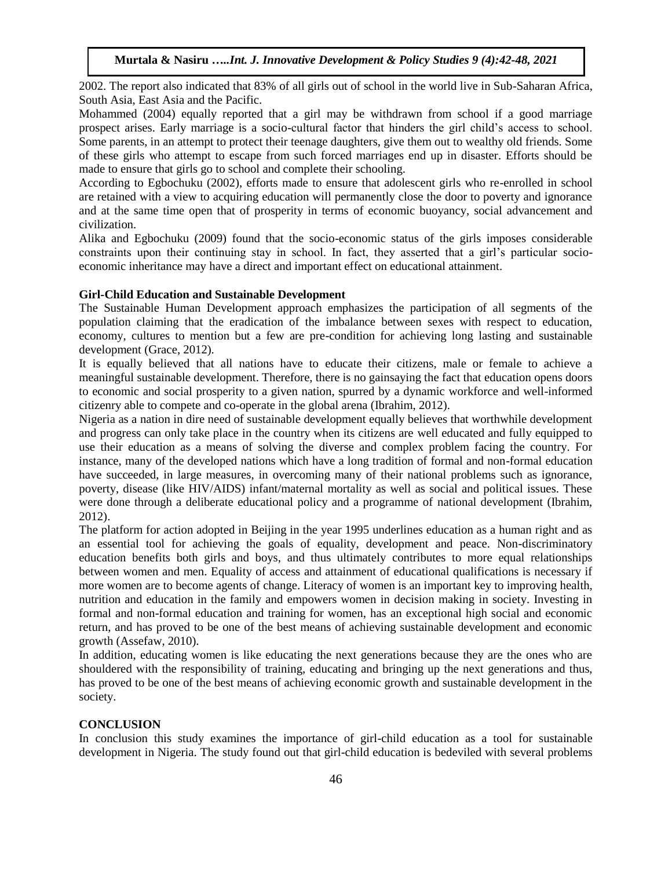2002. The report also indicated that 83% of all girls out of school in the world live in Sub-Saharan Africa, South Asia, East Asia and the Pacific.

Mohammed (2004) equally reported that a girl may be withdrawn from school if a good marriage prospect arises. Early marriage is a socio-cultural factor that hinders the girl child's access to school. Some parents, in an attempt to protect their teenage daughters, give them out to wealthy old friends. Some of these girls who attempt to escape from such forced marriages end up in disaster. Efforts should be made to ensure that girls go to school and complete their schooling.

According to Egbochuku (2002), efforts made to ensure that adolescent girls who re-enrolled in school are retained with a view to acquiring education will permanently close the door to poverty and ignorance and at the same time open that of prosperity in terms of economic buoyancy, social advancement and civilization.

Alika and Egbochuku (2009) found that the socio-economic status of the girls imposes considerable constraints upon their continuing stay in school. In fact, they asserted that a girl's particular socioeconomic inheritance may have a direct and important effect on educational attainment.

### **Girl-Child Education and Sustainable Development**

The Sustainable Human Development approach emphasizes the participation of all segments of the population claiming that the eradication of the imbalance between sexes with respect to education, economy, cultures to mention but a few are pre-condition for achieving long lasting and sustainable development (Grace, 2012).

It is equally believed that all nations have to educate their citizens, male or female to achieve a meaningful sustainable development. Therefore, there is no gainsaying the fact that education opens doors to economic and social prosperity to a given nation, spurred by a dynamic workforce and well-informed citizenry able to compete and co-operate in the global arena (Ibrahim, 2012).

Nigeria as a nation in dire need of sustainable development equally believes that worthwhile development and progress can only take place in the country when its citizens are well educated and fully equipped to use their education as a means of solving the diverse and complex problem facing the country. For instance, many of the developed nations which have a long tradition of formal and non-formal education have succeeded, in large measures, in overcoming many of their national problems such as ignorance, poverty, disease (like HIV/AIDS) infant/maternal mortality as well as social and political issues. These were done through a deliberate educational policy and a programme of national development (Ibrahim, 2012).

The platform for action adopted in Beijing in the year 1995 underlines education as a human right and as an essential tool for achieving the goals of equality, development and peace. Non-discriminatory education benefits both girls and boys, and thus ultimately contributes to more equal relationships between women and men. Equality of access and attainment of educational qualifications is necessary if more women are to become agents of change. Literacy of women is an important key to improving health, nutrition and education in the family and empowers women in decision making in society. Investing in formal and non-formal education and training for women, has an exceptional high social and economic return, and has proved to be one of the best means of achieving sustainable development and economic growth (Assefaw, 2010).

In addition, educating women is like educating the next generations because they are the ones who are shouldered with the responsibility of training, educating and bringing up the next generations and thus, has proved to be one of the best means of achieving economic growth and sustainable development in the society.

## **CONCLUSION**

In conclusion this study examines the importance of girl-child education as a tool for sustainable development in Nigeria. The study found out that girl-child education is bedeviled with several problems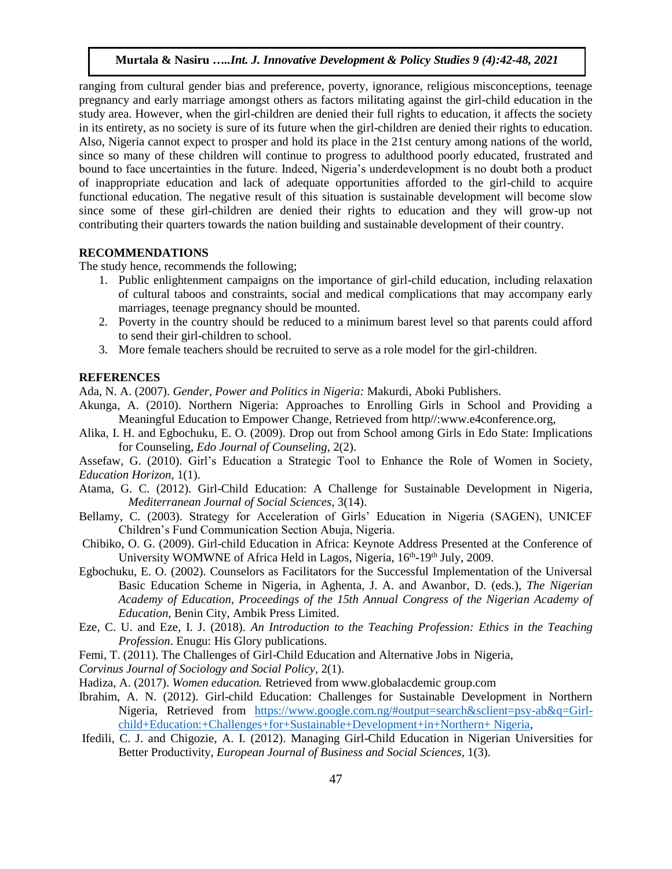ranging from cultural gender bias and preference, poverty, ignorance, religious misconceptions, teenage pregnancy and early marriage amongst others as factors militating against the girl-child education in the study area. However, when the girl-children are denied their full rights to education, it affects the society in its entirety, as no society is sure of its future when the girl-children are denied their rights to education. Also, Nigeria cannot expect to prosper and hold its place in the 21st century among nations of the world, since so many of these children will continue to progress to adulthood poorly educated, frustrated and bound to face uncertainties in the future. Indeed, Nigeria's underdevelopment is no doubt both a product of inappropriate education and lack of adequate opportunities afforded to the girl-child to acquire functional education. The negative result of this situation is sustainable development will become slow since some of these girl-children are denied their rights to education and they will grow-up not contributing their quarters towards the nation building and sustainable development of their country.

# **RECOMMENDATIONS**

The study hence, recommends the following;

- 1. Public enlightenment campaigns on the importance of girl-child education, including relaxation of cultural taboos and constraints, social and medical complications that may accompany early marriages, teenage pregnancy should be mounted.
- 2. Poverty in the country should be reduced to a minimum barest level so that parents could afford to send their girl-children to school.
- 3. More female teachers should be recruited to serve as a role model for the girl-children.

#### **REFERENCES**

Ada, N. A. (2007). *Gender, Power and Politics in Nigeria:* Makurdi, Aboki Publishers.

- Akunga, A. (2010). Northern Nigeria: Approaches to Enrolling Girls in School and Providing a Meaningful Education to Empower Change, Retrieved from http//:www.e4conference.org,
- Alika, I. H. and Egbochuku, E. O. (2009). Drop out from School among Girls in Edo State: Implications for Counseling, *Edo Journal of Counseling*, 2(2).

Assefaw, G. (2010). [Girl's Education a Strategic Tool to Enhance the Role of Women in Society,](http://www.shabait.com/articles/nation-building/2667-girls-education-a-strategic-tool-to-enhance-the-role-of-women-in-societypart-i-) *[Education Horizon,](http://www.shabait.com/articles/nation-building/2667-girls-education-a-strategic-tool-to-enhance-the-role-of-women-in-societypart-i-)* 1(1).

- Atama, G. C. (2012). Girl-Child Education: A Challenge for Sustainable Development in Nigeria, *Mediterranean Journal of Social Sciences,* 3(14).
- Bellamy, C. (2003). Strategy for Acceleration of Girls' Education in Nigeria (SAGEN), UNICEF Children's Fund Communication Section Abuja, Nigeria.
- Chibiko, O. G. (2009). Girl-child Education in Africa: Keynote Address Presented at the Conference of University WOMWNE of Africa Held in Lagos, Nigeria, 16<sup>th</sup>-19<sup>th</sup> July, 2009.
- Egbochuku, E. O. (2002). Counselors as Facilitators for the Successful Implementation of the Universal Basic Education Scheme in Nigeria, in Aghenta, J. A. and Awanbor, D. (eds.), *The Nigerian Academy of Education, Proceedings of the 15th Annual Congress of the Nigerian Academy of Education,* Benin City, Ambik Press Limited.
- Eze, C. U. and Eze, I. J. (2018). *An Introduction to the Teaching Profession: Ethics in the Teaching Profession*. Enugu: His Glory publications.
- Femi, T. (2011). The Challenges of Girl-Child Education and Alternative Jobs in Nigeria,
- *Corvinus Journal of Sociology and Social Policy*, 2(1).

Hadiza, A. (2017). *Women education.* Retrieved from www.globalacdemic group.com

- Ibrahim, A. N. (2012). Girl-child Education: Challenges for Sustainable Development in Northern Nigeria, Retrieved from [https://www.google.com.ng/#output=search&sclient=psy-ab&q=Girl](https://www.google.com.ng/#output=search&sclient=psy-ab&q=Girl-child+Education:+Challenges+for+Sustainable+Development+in+Northern+ Nigeria)[child+Education:+Challenges+for+Sustainable+Development+in+Northern+ Nigeria,](https://www.google.com.ng/#output=search&sclient=psy-ab&q=Girl-child+Education:+Challenges+for+Sustainable+Development+in+Northern+ Nigeria)
- Ifedili, C. J. and Chigozie, A. I. (2012). Managing Girl-Child Education in Nigerian Universities for Better Productivity, *European Journal of Business and Social Sciences,* 1(3).